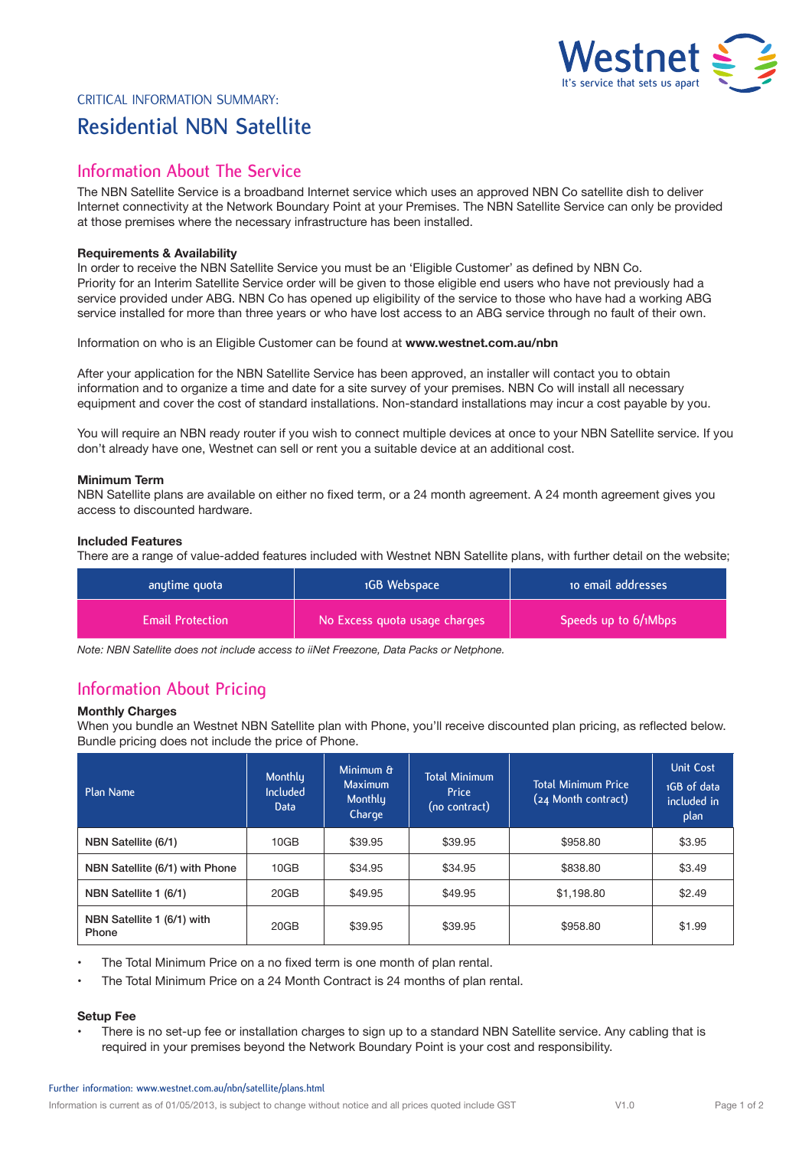

# Critical Information Summary: **Residential NBN Satellite**

# **Information About The Service**

The NBN Satellite Service is a broadband Internet service which uses an approved NBN Co satellite dish to deliver Internet connectivity at the Network Boundary Point at your Premises. The NBN Satellite Service can only be provided at those premises where the necessary infrastructure has been installed.

### **Requirements & Availability**

In order to receive the NBN Satellite Service you must be an 'Eligible Customer' as defined by NBN Co. Priority for an Interim Satellite Service order will be given to those eligible end users who have not previously had a service provided under ABG. NBN Co has opened up eligibility of the service to those who have had a working ABG service installed for more than three years or who have lost access to an ABG service through no fault of their own.

Information on who is an Eligible Customer can be found at **www.westnet.com.au/nbn**

After your application for the NBN Satellite Service has been approved, an installer will contact you to obtain information and to organize a time and date for a site survey of your premises. NBN Co will install all necessary equipment and cover the cost of standard installations. Non-standard installations may incur a cost payable by you.

You will require an NBN ready router if you wish to connect multiple devices at once to your NBN Satellite service. If you don't already have one, Westnet can sell or rent you a suitable device at an additional cost.

## **Minimum Term**

NBN Satellite plans are available on either no fixed term, or a 24 month agreement. A 24 month agreement gives you access to discounted hardware.

### **Included Features**

There are a range of value-added features included with Westnet NBN Satellite plans, with further detail on the website;

| anytime quota           | 1GB Webspace                  | to email addresses     |  |
|-------------------------|-------------------------------|------------------------|--|
| <b>Email Protection</b> | No Excess quota usage charges | Speeds up to 6/1Mbps 1 |  |

*Note: NBN Satellite does not include access to iiNet Freezone, Data Packs or Netphone.*

# **Information About Pricing**

### **Monthly Charges**

When you bundle an Westnet NBN Satellite plan with Phone, you'll receive discounted plan pricing, as reflected below. Bundle pricing does not include the price of Phone.

| Plan Name                           | Monthlu<br><b>Included</b><br><b>Data</b> | Minimum &<br><b>Maximum</b><br><b>Monthly</b><br>Charge | <b>Total Minimum</b><br>Price<br>(no contract) | <b>Total Minimum Price</b><br>(24 Month contract) | <b>Unit Cost</b><br>1GB of data<br>included in<br>plan |
|-------------------------------------|-------------------------------------------|---------------------------------------------------------|------------------------------------------------|---------------------------------------------------|--------------------------------------------------------|
| NBN Satellite (6/1)                 | 10GB                                      | \$39.95                                                 | \$39.95                                        | \$958.80                                          | \$3.95                                                 |
| NBN Satellite (6/1) with Phone      | 10GB                                      | \$34.95                                                 | \$34.95                                        | \$838.80                                          | \$3.49                                                 |
| NBN Satellite 1 (6/1)               | 20GB                                      | \$49.95                                                 | \$49.95                                        | \$1,198.80                                        | \$2.49                                                 |
| NBN Satellite 1 (6/1) with<br>Phone | 20GB                                      | \$39.95                                                 | \$39.95                                        | \$958.80                                          | \$1.99                                                 |

- The Total Minimum Price on a no fixed term is one month of plan rental.
- The Total Minimum Price on a 24 Month Contract is 24 months of plan rental.

## **Setup Fee**

• There is no set-up fee or installation charges to sign up to a standard NBN Satellite service. Any cabling that is required in your premises beyond the Network Boundary Point is your cost and responsibility.